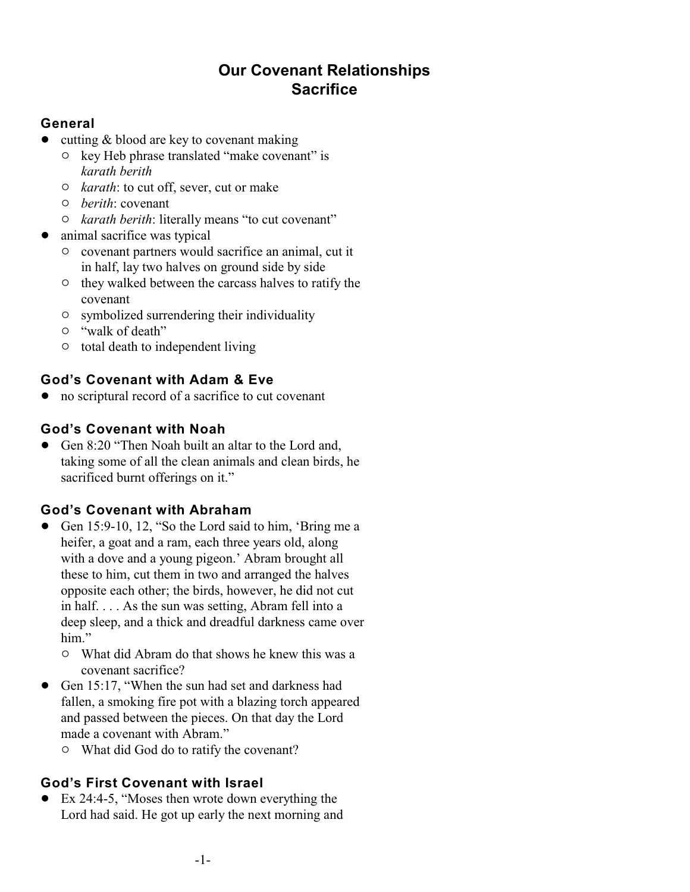# **Our Covenant Relationships Sacrifice**

## **General**

- cutting & blood are key to covenant making
	- $\circ$  key Heb phrase translated "make covenant" is *karath berith*
	- " *karath*: to cut off, sever, cut or make
	- " *berith*: covenant
	- $\circ$  *karath berith*: literally means "to cut covenant"
- animal sacrifice was typical
	- $\circ$  covenant partners would sacrifice an animal, cut it in half, lay two halves on ground side by side
	- $\circ$  they walked between the carcass halves to ratify the covenant
	- $\circ$  symbolized surrendering their individuality
	- $\circ$  "walk of death"
	- $\circ$  total death to independent living

# **God's Covenant with Adam & Eve**

• no scriptural record of a sacrifice to cut covenant

### **God's Covenant with Noah**

• Gen 8:20 "Then Noah built an altar to the Lord and, taking some of all the clean animals and clean birds, he sacrificed burnt offerings on it."

# **God's Covenant with Abraham**

- ! Gen 15:9-10, 12, "So the Lord said to him, 'Bring me a heifer, a goat and a ram, each three years old, along with a dove and a young pigeon.' Abram brought all these to him, cut them in two and arranged the halves opposite each other; the birds, however, he did not cut in half. . . . As the sun was setting, Abram fell into a deep sleep, and a thick and dreadful darkness came over him."
	- $\circ$  What did Abram do that shows he knew this was a covenant sacrifice?
- Gen 15:17, "When the sun had set and darkness had fallen, a smoking fire pot with a blazing torch appeared and passed between the pieces. On that day the Lord made a covenant with Abram."
	- $\circ$  What did God do to ratify the covenant?

# **God's First Covenant with Israel**

• Ex 24:4-5, "Moses then wrote down everything the Lord had said. He got up early the next morning and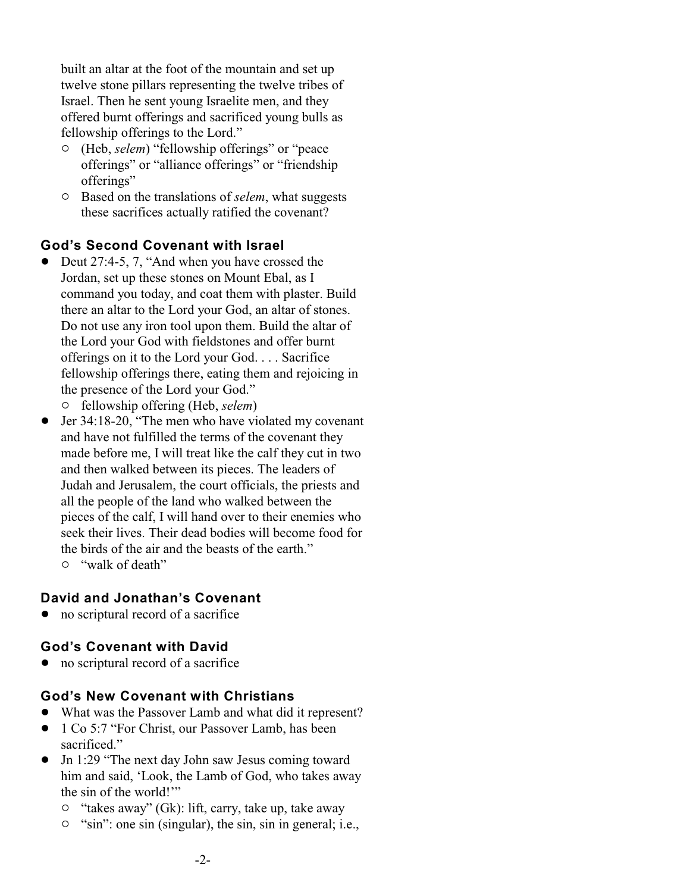built an altar at the foot of the mountain and set up twelve stone pillars representing the twelve tribes of Israel. Then he sent young Israelite men, and they offered burnt offerings and sacrificed young bulls as fellowship offerings to the Lord."

- " (Heb, *selem*) "fellowship offerings" or "peace offerings" or "alliance offerings" or "friendship offerings"
- $\circ$  Based on the translations of *selem*, what suggests these sacrifices actually ratified the covenant?

#### **God's Second Covenant with Israel**

- Deut 27:4-5, 7, "And when you have crossed the Jordan, set up these stones on Mount Ebal, as I command you today, and coat them with plaster. Build there an altar to the Lord your God, an altar of stones. Do not use any iron tool upon them. Build the altar of the Lord your God with fieldstones and offer burnt offerings on it to the Lord your God. . . . Sacrifice fellowship offerings there, eating them and rejoicing in the presence of the Lord your God."
	- " fellowship offering (Heb, *selem*)
- Jer 34:18-20, "The men who have violated my covenant and have not fulfilled the terms of the covenant they made before me, I will treat like the calf they cut in two and then walked between its pieces. The leaders of Judah and Jerusalem, the court officials, the priests and all the people of the land who walked between the pieces of the calf, I will hand over to their enemies who seek their lives. Their dead bodies will become food for the birds of the air and the beasts of the earth."
	- $\circ$  "walk of death"

#### **David and Jonathan's Covenant**

no scriptural record of a sacrifice

#### **God's Covenant with David**

no scriptural record of a sacrifice

#### **God's New Covenant with Christians**

- ! What was the Passover Lamb and what did it represent?
- 1 Co 5:7 "For Christ, our Passover Lamb, has been sacrificed."
- Jn 1:29 "The next day John saw Jesus coming toward him and said, 'Look, the Lamb of God, who takes away the sin of the world!'"
	- <sup>o</sup> "takes away" (Gk): lift, carry, take up, take away
	- $\circ$  "sin": one sin (singular), the sin, sin in general; i.e.,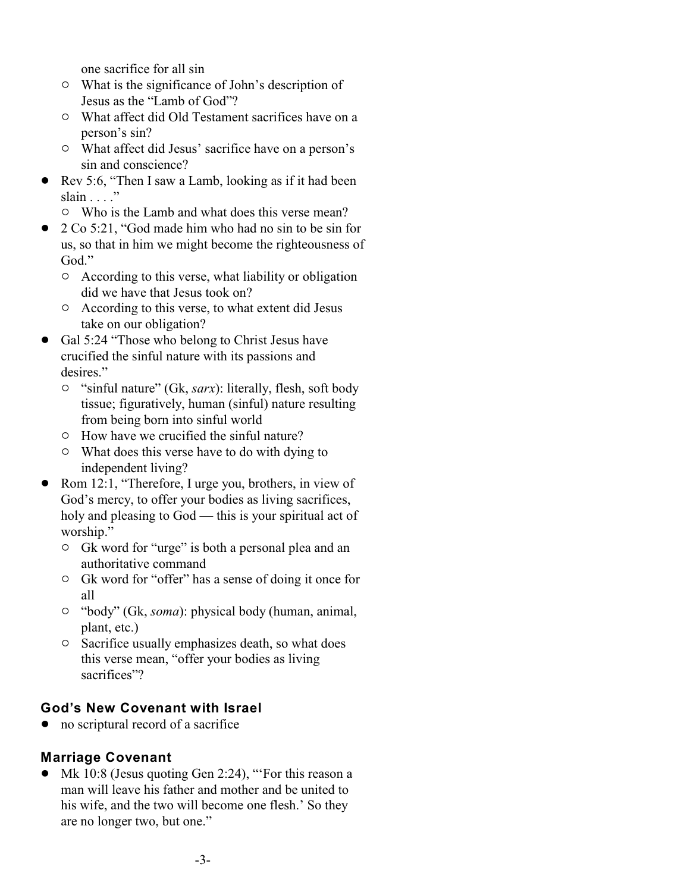one sacrifice for all sin

- $\circ$  What is the significance of John's description of Jesus as the "Lamb of God"?
- $\circ$  What affect did Old Testament sacrifices have on a person's sin?
- $\circ$  What affect did Jesus' sacrifice have on a person's sin and conscience?
- ! Rev 5:6, "Then I saw a Lamb, looking as if it had been slain  $\ldots$ ."
	- $\circ$  Who is the Lamb and what does this verse mean?
- 2 Co 5:21, "God made him who had no sin to be sin for us, so that in him we might become the righteousness of God."
	- $\circ$  According to this verse, what liability or obligation did we have that Jesus took on?
	- $\circ$  According to this verse, to what extent did Jesus take on our obligation?
- ! Gal 5:24 "Those who belong to Christ Jesus have crucified the sinful nature with its passions and desires."
	- " "sinful nature" (Gk, *sarx*): literally, flesh, soft body tissue; figuratively, human (sinful) nature resulting from being born into sinful world
	- $\circ$  How have we crucified the sinful nature?
	- $\circ$  What does this verse have to do with dying to independent living?
- Rom 12:1, "Therefore, I urge you, brothers, in view of God's mercy, to offer your bodies as living sacrifices, holy and pleasing to God — this is your spiritual act of worship."
	- $\circ$  Gk word for "urge" is both a personal plea and an authoritative command
	- <sup>o</sup> Gk word for "offer" has a sense of doing it once for all
	- " "body" (Gk, *soma*): physical body (human, animal, plant, etc.)
	- <sup>o</sup> Sacrifice usually emphasizes death, so what does this verse mean, "offer your bodies as living sacrifices"?

# **God's New Covenant with Israel**

• no scriptural record of a sacrifice

# **Marriage Covenant**

• Mk 10:8 (Jesus quoting Gen 2:24), "'For this reason a man will leave his father and mother and be united to his wife, and the two will become one flesh.' So they are no longer two, but one."